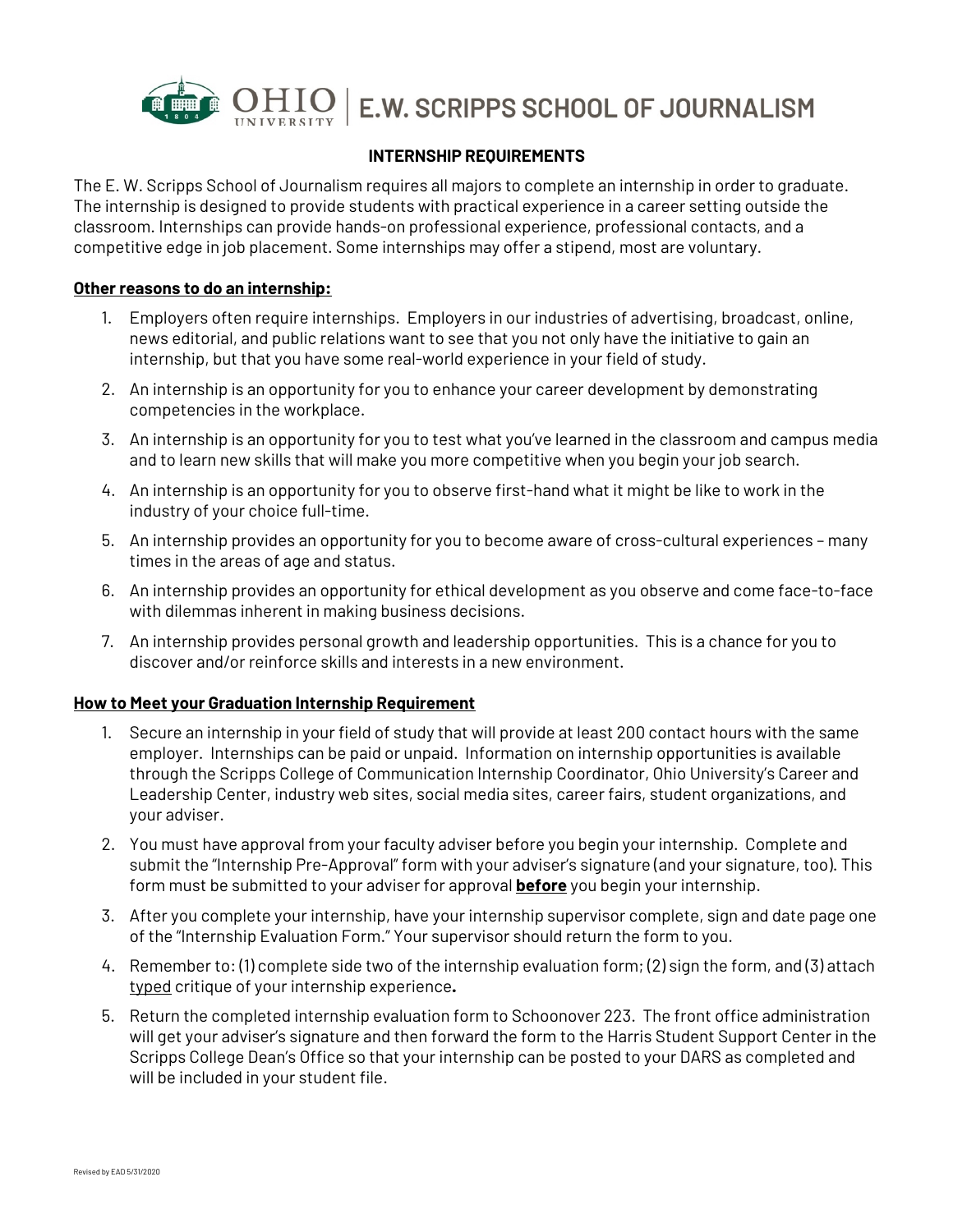

## **INTERNSHIP REQUIREMENTS**

The E. W. Scripps School of Journalism requires all majors to complete an internship in order to graduate. The internship is designed to provide students with practical experience in a career setting outside the classroom. Internships can provide hands-on professional experience, professional contacts, and a competitive edge in job placement. Some internships may offer a stipend, most are voluntary.

## **Other reasons to do an internship:**

- 1. Employers often require internships. Employers in our industries of advertising, broadcast, online, news editorial, and public relations want to see that you not only have the initiative to gain an internship, but that you have some real-world experience in your field of study.
- 2. An internship is an opportunity for you to enhance your career development by demonstrating competencies in the workplace.
- 3. An internship is an opportunity for you to test what you've learned in the classroom and campus media and to learn new skills that will make you more competitive when you begin your job search.
- 4. An internship is an opportunity for you to observe first-hand what it might be like to work in the industry of your choice full-time.
- 5. An internship provides an opportunity for you to become aware of cross-cultural experiences many times in the areas of age and status.
- 6. An internship provides an opportunity for ethical development as you observe and come face-to-face with dilemmas inherent in making business decisions.
- 7. An internship provides personal growth and leadership opportunities. This is a chance for you to discover and/or reinforce skills and interests in a new environment.

## **How to Meet your Graduation Internship Requirement**

- 1. Secure an internship in your field of study that will provide at least 200 contact hours with the same employer. Internships can be paid or unpaid. Information on internship opportunities is available through the Scripps College of Communication Internship Coordinator, Ohio University's Career and Leadership Center, industry web sites, social media sites, career fairs, student organizations, and your adviser.
- 2. You must have approval from your faculty adviser before you begin your internship. Complete and submit the "Internship Pre-Approval" form with your adviser's signature (and your signature, too). This form must be submitted to your adviser for approval **before** you begin your internship.
- 3. After you complete your internship, have your internship supervisor complete, sign and date page one of the "Internship Evaluation Form." Your supervisor should return the form to you.
- 4. Remember to: (1) complete side two of the internship evaluation form; (2) sign the form, and (3) attach typed critique of your internship experience**.**
- 5. Return the completed internship evaluation form to Schoonover 223. The front office administration will get your adviser's signature and then forward the form to the Harris Student Support Center in the Scripps College Dean's Office so that your internship can be posted to your DARS as completed and will be included in your student file.